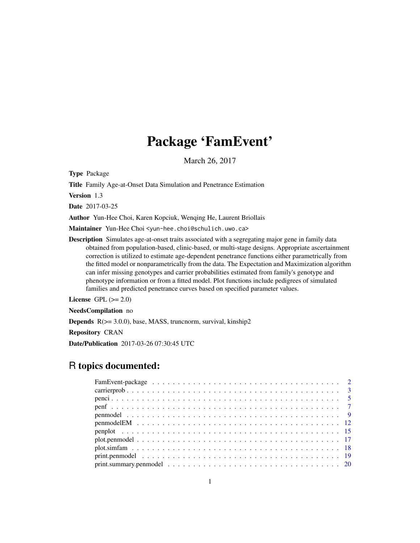# Package 'FamEvent'

March 26, 2017

<span id="page-0-0"></span>Type Package

Title Family Age-at-Onset Data Simulation and Penetrance Estimation

Version 1.3

Date 2017-03-25

Author Yun-Hee Choi, Karen Kopciuk, Wenqing He, Laurent Briollais

Maintainer Yun-Hee Choi <yun-hee.choi@schulich.uwo.ca>

Description Simulates age-at-onset traits associated with a segregating major gene in family data obtained from population-based, clinic-based, or multi-stage designs. Appropriate ascertainment correction is utilized to estimate age-dependent penetrance functions either parametrically from the fitted model or nonparametrically from the data. The Expectation and Maximization algorithm can infer missing genotypes and carrier probabilities estimated from family's genotype and phenotype information or from a fitted model. Plot functions include pedigrees of simulated families and predicted penetrance curves based on specified parameter values.

License GPL  $(>= 2.0)$ 

NeedsCompilation no

**Depends**  $R$ ( $> = 3.0.0$ ), base, MASS, truncnorm, survival, kinship2

Repository CRAN

Date/Publication 2017-03-26 07:30:45 UTC

# R topics documented:

| $print. summary. pennodel \ldots \ldots \ldots \ldots \ldots \ldots \ldots \ldots \ldots \ldots \ldots \ldots 20$ |
|-------------------------------------------------------------------------------------------------------------------|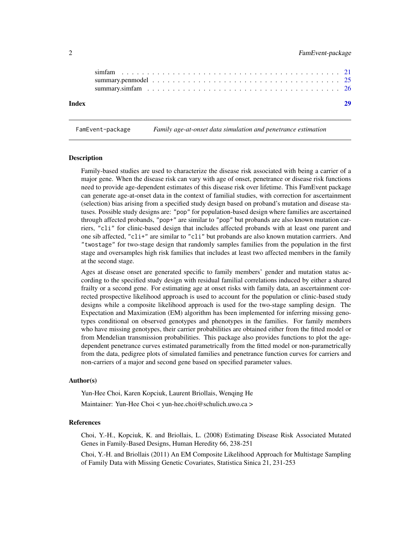<span id="page-1-0"></span>

| Index |  |  |  |  |
|-------|--|--|--|--|

FamEvent-package *Family age-at-onset data simulation and penetrance estimation*

#### Description

Family-based studies are used to characterize the disease risk associated with being a carrier of a major gene. When the disease risk can vary with age of onset, penetrance or disease risk functions need to provide age-dependent estimates of this disease risk over lifetime. This FamEvent package can generate age-at-onset data in the context of familial studies, with correction for ascertainment (selection) bias arising from a specified study design based on proband's mutation and disease statuses. Possible study designs are: "pop" for population-based design where families are ascertained through affected probands, "pop+" are similar to "pop" but probands are also known mutation carriers, "cli" for clinic-based design that includes affected probands with at least one parent and one sib affected, "cli+" are similar to "cli" but probands are also known mutation carrriers. And "twostage" for two-stage design that randomly samples families from the population in the first stage and oversamples high risk families that includes at least two affected members in the family at the second stage.

Ages at disease onset are generated specific to family members' gender and mutation status according to the specified study design with residual familial correlations induced by either a shared frailty or a second gene. For estimating age at onset risks with family data, an ascertainment corrected prospective likelihood approach is used to account for the population or clinic-based study designs while a composite likelihood approach is used for the two-stage sampling design. The Expectation and Maximization (EM) algorithm has been implemented for inferring missing genotypes conditional on observed genotypes and phenotypes in the families. For family members who have missing genotypes, their carrier probabilities are obtained either from the fitted model or from Mendelian transmission probabilities. This package also provides functions to plot the agedependent penetrance curves estimated parametrically from the fitted model or non-parametrically from the data, pedigree plots of simulated families and penetrance function curves for carriers and non-carriers of a major and second gene based on specified parameter values.

# Author(s)

Yun-Hee Choi, Karen Kopciuk, Laurent Briollais, Wenqing He Maintainer: Yun-Hee Choi < yun-hee.choi@schulich.uwo.ca >

# References

Choi, Y.-H., Kopciuk, K. and Briollais, L. (2008) Estimating Disease Risk Associated Mutated Genes in Family-Based Designs, Human Heredity 66, 238-251

Choi, Y.-H. and Briollais (2011) An EM Composite Likelihood Approach for Multistage Sampling of Family Data with Missing Genetic Covariates, Statistica Sinica 21, 231-253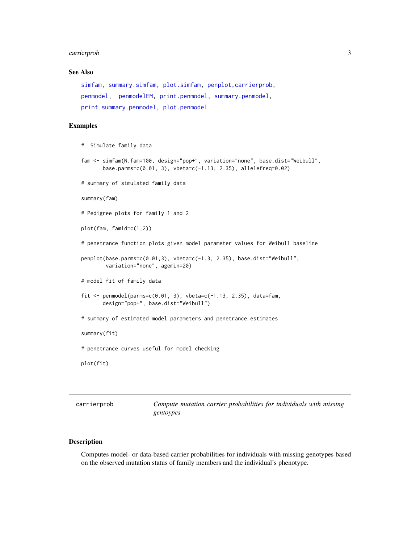#### <span id="page-2-0"></span>carrierprob 3

# See Also

```
simfam, summary.simfam, plot.simfam, penplot,carrierprob,
penmodel, penmodelEM, print.penmodel, summary.penmodel,
print.summary.penmodel, plot.penmodel
```
#### Examples

```
# Simulate family data
fam <- simfam(N.fam=100, design="pop+", variation="none", base.dist="Weibull",
      base.parms=c(0.01, 3), vbeta=c(-1.13, 2.35), allelefreq=0.02)
# summary of simulated family data
summary(fam)
# Pedigree plots for family 1 and 2
plot(fam, famid=c(1,2))
# penetrance function plots given model parameter values for Weibull baseline
penplot(base.parms=c(0.01,3), vbeta=c(-1.3, 2.35), base.dist="Weibull",
       variation="none", agemin=20)
# model fit of family data
fit \leq penmodel(parms=c(0.01, 3), vbeta=c(-1.13, 2.35), data=fam,
      design="pop+", base.dist="Weibull")
# summary of estimated model parameters and penetrance estimates
summary(fit)
# penetrance curves useful for model checking
plot(fit)
```
<span id="page-2-1"></span>

| carrierprob | Compute mutation carrier probabilities for individuals with missing |
|-------------|---------------------------------------------------------------------|
|             | gentoypes                                                           |

# Description

Computes model- or data-based carrier probabilities for individuals with missing genotypes based on the observed mutation status of family members and the individual's phenotype.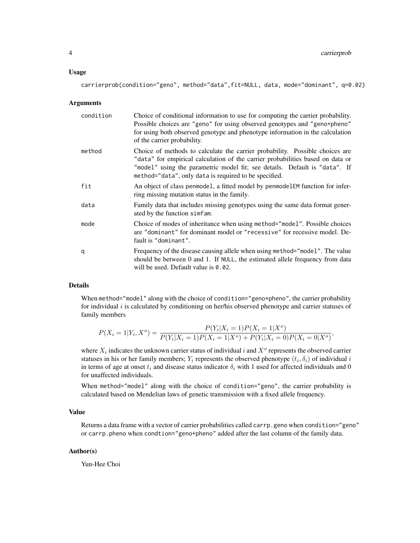#### Usage

carrierprob(condition="geno", method="data",fit=NULL, data, mode="dominant", q=0.02)

#### **Arguments**

| condition | Choice of conditional information to use for computing the carrier probability.<br>Possible choices are "geno" for using observed genotypes and "geno+pheno"<br>for using both observed genotype and phenotype information in the calculation<br>of the carrier probability.                          |
|-----------|-------------------------------------------------------------------------------------------------------------------------------------------------------------------------------------------------------------------------------------------------------------------------------------------------------|
| method    | Choice of methods to calculate the carrier probability. Possible choices are<br>"data" for empirical calculation of the carrier probabilities based on data or<br>"model" using the parametric model fit; see details. Default is "data". If<br>method="data", only data is required to be specified. |
| fit       | An object of class penmodel, a fitted model by penmodel EM function for infer-<br>ring missing mutation status in the family.                                                                                                                                                                         |
| data      | Family data that includes missing genotypes using the same data format gener-<br>ated by the function simfam.                                                                                                                                                                                         |
| mode      | Choice of modes of inheritance when using method="model". Possible choices<br>are "dominant" for dominant model or "recessive" for recessive model. De-<br>fault is "dominant".                                                                                                                       |
| q         | Frequency of the disease causing allele when using method="model". The value<br>should be between 0 and 1. If NULL, the estimated allele frequency from data<br>will be used. Default value is $0.02$ .                                                                                               |

#### Details

When method="model" along with the choice of condition="geno+pheno", the carrier probability for individual  $i$  is calculated by conditioning on her/his observed phenotype and carrier statuses of family members

$$
P(X_i = 1 | Y_i, X^o) = \frac{P(Y_i | X_i = 1)P(X_i = 1 | X^o)}{P(Y_i | X_i = 1)P(X_i = 1 | X^o) + P(Y_i | X_i = 0)P(X_i = 0 | X^o)},
$$

where  $X_i$  indicates the unknown carrier status of individual i and  $X^o$  represents the observed carrier statuses in his or her family members;  $Y_i$  represents the observed phenotype  $(t_i, \delta_i)$  of individual  $i$ in terms of age at onset  $t_i$  and disease status indicator  $\delta_i$  with 1 used for affected individuals and 0 for unaffected individuals.

When method="model" along with the choice of condition="geno", the carrier probability is calculated based on Mendelian laws of genetic transmission with a fixed allele frequency.

#### Value

Returns a data frame with a vector of carrier probabilities called carrp.geno when condition="geno" or carrp.pheno when condtion="geno+pheno" added after the last column of the family data.

#### Author(s)

Yun-Hee Choi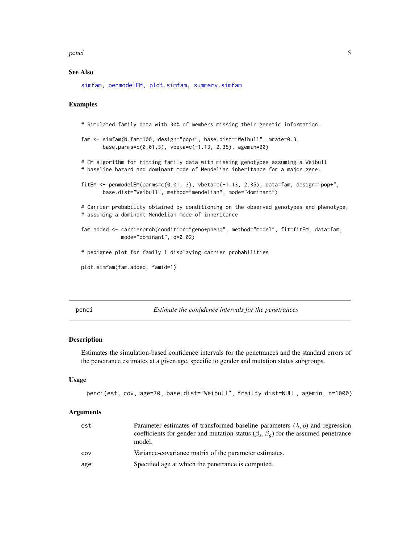#### <span id="page-4-0"></span>penci 5

# See Also

[simfam,](#page-20-1) [penmodelEM,](#page-11-1) [plot.simfam,](#page-17-1) [summary.simfam](#page-25-1)

#### Examples

```
# Simulated family data with 30% of members missing their genetic information.
```

```
fam <- simfam(N.fam=100, design="pop+", base.dist="Weibull", mrate=0.3,
      base.parms=c(0.01,3), vbeta=c(-1.13, 2.35), agemin=20)
```
# EM algorithm for fitting family data with missing genotypes assuming a Weibull # baseline hazard and dominant mode of Mendelian inheritance for a major gene.

```
fitEM <- penmodelEM(parms=c(0.01, 3), vbeta=c(-1.13, 2.35), data=fam, design="pop+",
      base.dist="Weibull", method="mendelian", mode="dominant")
```
# Carrier probability obtained by conditioning on the observed genotypes and phenotype, # assuming a dominant Mendelian mode of inheritance

fam.added <- carrierprob(condition="geno+pheno", method="model", fit=fitEM, data=fam, mode="dominant", q=0.02)

# pedigree plot for family 1 displaying carrier probabilities

```
plot.simfam(fam.added, famid=1)
```
<span id="page-4-1"></span>penci *Estimate the confidence intervals for the penetrances*

#### Description

Estimates the simulation-based confidence intervals for the penetrances and the standard errors of the penetrance estimates at a given age, specific to gender and mutation status subgroups.

#### Usage

```
penci(est, cov, age=70, base.dist="Weibull", frailty.dist=NULL, agemin, n=1000)
```

| est | Parameter estimates of transformed baseline parameters $(\lambda, \rho)$ and regression<br>coefficients for gender and mutation status ( $\beta_s$ , $\beta_q$ ) for the assumed penetrance<br>model. |
|-----|-------------------------------------------------------------------------------------------------------------------------------------------------------------------------------------------------------|
| COV | Variance-covariance matrix of the parameter estimates.                                                                                                                                                |
| age | Specified age at which the penetrance is computed.                                                                                                                                                    |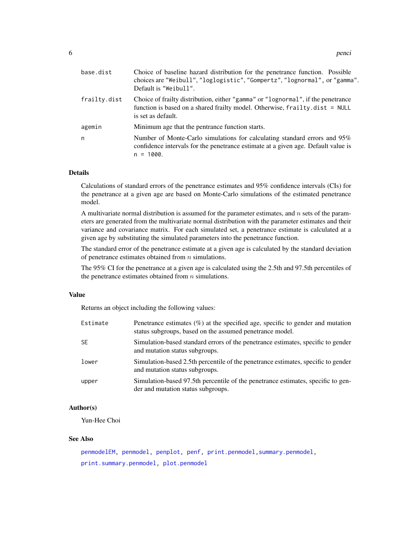<span id="page-5-0"></span>

| base.dist    | Choice of baseline hazard distribution for the penetrance function. Possible<br>choices are "Weibull", "loglogistic", "Gompertz", "lognormal", or "gamma".<br>Default is "Weibull".   |
|--------------|---------------------------------------------------------------------------------------------------------------------------------------------------------------------------------------|
| frailty.dist | Choice of frailty distribution, either "gamma" or "lognormal", if the penetrance<br>function is based on a shared frailty model. Otherwise, frailty.dist = NULL<br>is set as default. |
| agemin       | Minimum age that the pentrance function starts.                                                                                                                                       |
| n            | Number of Monte-Carlo simulations for calculating standard errors and 95%<br>confidence intervals for the penetrance estimate at a given age. Default value is<br>$n = 1000$ .        |

Calculations of standard errors of the penetrance estimates and 95% confidence intervals (CIs) for the penetrance at a given age are based on Monte-Carlo simulations of the estimated penetrance model.

A multivariate normal distribution is assumed for the parameter estimates, and  $n$  sets of the parameters are generated from the multivariate normal distribution with the parameter estimates and their variance and covariance matrix. For each simulated set, a penetrance estimate is calculated at a given age by substituting the simulated parameters into the penetrance function.

The standard error of the penetrance estimate at a given age is calculated by the standard deviation of penetrance estimates obtained from  $n$  simulations.

The 95% CI for the penetrance at a given age is calculated using the 2.5th and 97.5th percentiles of the penetrance estimates obtained from  $n$  simulations.

### Value

Returns an object including the following values:

| Estimate  | Penetrance estimates $(\%)$ at the specified age, specific to gender and mutation<br>status subgroups, based on the assumed penetrance model. |
|-----------|-----------------------------------------------------------------------------------------------------------------------------------------------|
| <b>SE</b> | Simulation-based standard errors of the penetrance estimates, specific to gender<br>and mutation status subgroups.                            |
| lower     | Simulation-based 2.5th percentile of the penetrance estimates, specific to gender<br>and mutation status subgroups.                           |
| upper     | Simulation-based 97.5th percentile of the penetrance estimates, specific to gen-<br>der and mutation status subgroups.                        |

# Author(s)

Yun-Hee Choi

# See Also

[penmodelEM,](#page-11-1) [penmodel,](#page-8-1) [penplot,](#page-14-1) [penf,](#page-6-1) [print.penmodel](#page-18-1), summary.penmodel, [print.summary.penmodel,](#page-19-1) [plot.penmodel](#page-16-1)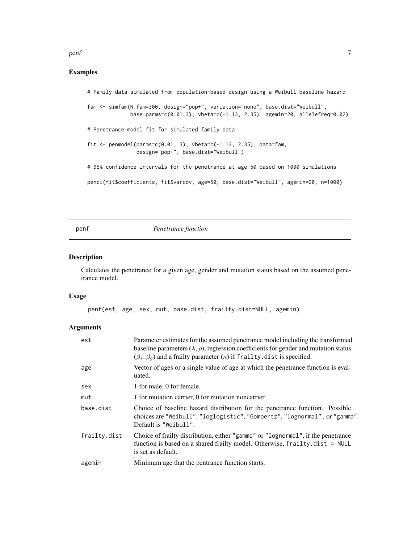#### <span id="page-6-0"></span>penf 7

# Examples

# Family data simulated from population-based design using a Weibull baseline hazard fam <- simfam(N.fam=300, design="pop+", variation="none", base.dist="Weibull", base.parms=c(0.01,3), vbeta=c(-1.13, 2.35), agemin=20, allelefreq=0.02) # Penetrance model fit for simulated family data fit  $\leq$  penmodel(parms=c(0.01, 3), vbeta=c(-1.13, 2.35), data=fam, design="pop+", base.dist="Weibull") # 95% confidence intervals for the penetrance at age 50 based on 1000 simulations penci(fit\$coefficients, fit\$varcov, age=50, base.dist="Weibull", agemin=20, n=1000)

# <span id="page-6-1"></span>penf *Penetrance function*

#### Description

Calculates the penetrance for a given age, gender and mutation status based on the assumed penetrance model.

#### Usage

penf(est, age, sex, mut, base.dist, frailty.dist=NULL, agemin)

| est          | Parameter estimates for the assumed penetrance model including the transformed<br>baseline parameters $(\lambda, \rho)$ , regression coefficients for gender and mutation status<br>$(\beta_s, \beta_q)$ and a frailty parameter $(\kappa)$ if frailty. dist is specified. |
|--------------|----------------------------------------------------------------------------------------------------------------------------------------------------------------------------------------------------------------------------------------------------------------------------|
| age          | Vector of ages or a single value of age at which the penetrance function is eval-<br>uated.                                                                                                                                                                                |
| sex          | 1 for male, 0 for female.                                                                                                                                                                                                                                                  |
| mut          | 1 for mutation carrier, 0 for mutation noncarrier.                                                                                                                                                                                                                         |
| base.dist    | Choice of baseline hazard distribution for the penetrance function. Possible<br>choices are "Weibull", "loglogistic", "Gompertz", "lognormal", or "gamma".<br>Default is "Weibull".                                                                                        |
| frailty.dist | Choice of frailty distribution, either "gamma" or "lognormal", if the penetrance<br>function is based on a shared frailty model. Otherwise, frailty.dist = NULL<br>is set as default.                                                                                      |
| agemin       | Minimum age that the pentrance function starts.                                                                                                                                                                                                                            |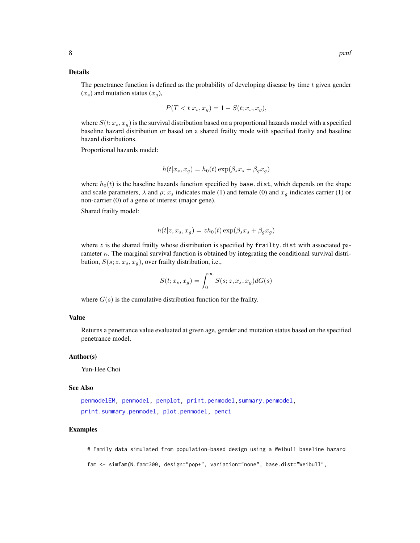<span id="page-7-0"></span>The penetrance function is defined as the probability of developing disease by time  $t$  given gender  $(x_s)$  and mutation status  $(x_q)$ ,

$$
P(T < t | x_s, x_g) = 1 - S(t; x_s, x_g),
$$

where  $S(t; x_s, x_g)$  is the survival distribution based on a proportional hazards model with a specified baseline hazard distribution or based on a shared frailty mode with specified frailty and baseline hazard distributions.

Proportional hazards model:

$$
h(t|x_s, x_g) = h_0(t) \exp(\beta_s x_s + \beta_g x_g)
$$

where  $h_0(t)$  is the baseline hazards function specified by base.dist, which depends on the shape and scale parameters,  $\lambda$  and  $\rho$ ;  $x_s$  indicates male (1) and female (0) and  $x_q$  indicates carrier (1) or non-carrier (0) of a gene of interest (major gene).

Shared frailty model:

$$
h(t|z, x_s, x_g) = zh_0(t) \exp(\beta_s x_s + \beta_g x_g)
$$

where  $z$  is the shared frailty whose distribution is specified by frailty.dist with associated parameter  $\kappa$ . The marginal survival function is obtained by integrating the conditional survival distribution,  $S(s; z, x_s, x_g)$ , over frailty distribution, i.e.,

$$
S(t; x_s, x_g) = \int_0^\infty S(s; z, x_s, x_g) dG(s)
$$

where  $G(s)$  is the cumulative distribution function for the frailty.

# Value

Returns a penetrance value evaluated at given age, gender and mutation status based on the specified penetrance model.

#### Author(s)

Yun-Hee Choi

#### See Also

[penmodelEM,](#page-11-1) [penmodel,](#page-8-1) [penplot,](#page-14-1) [print.penmodel,](#page-18-1)[summary.penmodel,](#page-24-1) [print.summary.penmodel,](#page-19-1) [plot.penmodel,](#page-16-1) [penci](#page-4-1)

#### Examples

# Family data simulated from population-based design using a Weibull baseline hazard

fam <- simfam(N.fam=300, design="pop+", variation="none", base.dist="Weibull",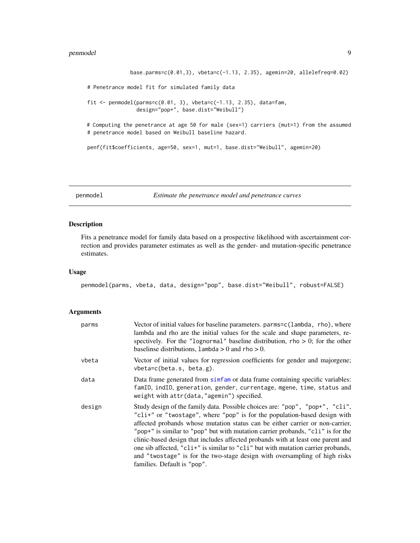```
base.parms=c(0.01,3), vbeta=c(-1.13, 2.35), agemin=20, allelefreq=0.02)
# Penetrance model fit for simulated family data
fit \le penmodel(parms=c(0.01, 3), vbeta=c(-1.13, 2.35), data=fam,
                design="pop+", base.dist="Weibull")
# Computing the penetrance at age 50 for male (sex=1) carriers (mut=1) from the assumed
# penetrance model based on Weibull baseline hazard.
penf(fit$coefficients, age=50, sex=1, mut=1, base.dist="Weibull", agemin=20)
```

```
penmodel Estimate the penetrance model and penetrance curves
```
# Description

Fits a penetrance model for family data based on a prospective likelihood with ascertainment correction and provides parameter estimates as well as the gender- and mutation-specific penetrance estimates.

#### Usage

penmodel(parms, vbeta, data, design="pop", base.dist="Weibull", robust=FALSE)

| parms  | Vector of initial values for baseline parameters. parms=c(lambda, rho), where<br>lambda and rho are the initial values for the scale and shape parameters, re-<br>spectively. For the "lognormal" baseline distribution, rho $> 0$ ; for the other<br>baselinse distributions, $lambda > 0$ and $rho > 0$ .                                                                                                                                                                                                                                                                                                         |
|--------|---------------------------------------------------------------------------------------------------------------------------------------------------------------------------------------------------------------------------------------------------------------------------------------------------------------------------------------------------------------------------------------------------------------------------------------------------------------------------------------------------------------------------------------------------------------------------------------------------------------------|
| vbeta  | Vector of initial values for regression coefficients for gender and majorgene;<br>$vbeta=c(beta.s, beta.g).$                                                                                                                                                                                                                                                                                                                                                                                                                                                                                                        |
| data   | Data frame generated from similar or data frame containing specific variables:<br>famID, indID, generation, gender, currentage, mgene, time, status and<br>weight with attr(data, "agemin") specified.                                                                                                                                                                                                                                                                                                                                                                                                              |
| design | Study design of the family data. Possible choices are: "pop", "pop+", "cli",<br>"cli+" or "twostage", where "pop" is for the population-based design with<br>affected probands whose mutation status can be either carrier or non-carrier,<br>"pop+" is similar to "pop" but with mutation carrier probands, "c1i" is for the<br>clinic-based design that includes affected probands with at least one parent and<br>one sib affected, "c1i+" is similar to "c1i" but with mutation carrier probands,<br>and "two stage" is for the two-stage design with oversampling of high risks<br>families. Default is "pop". |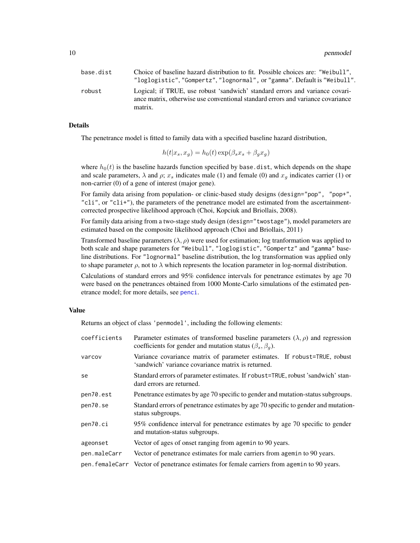<span id="page-9-0"></span>

| base.dist | Choice of baseline hazard distribution to fit. Possible choices are: "Weibull",                                                                                            |
|-----------|----------------------------------------------------------------------------------------------------------------------------------------------------------------------------|
|           | "loglogistic", "Gompertz", "lognormal", or "gamma". Default is "Weibull".                                                                                                  |
| robust    | Logical; if TRUE, use robust 'sandwich' standard errors and variance covari-<br>ance matrix, otherwise use conventional standard errors and variance covariance<br>matrix. |

The penetrance model is fitted to family data with a specified baseline hazard distribution,

$$
h(t|x_s, x_g) = h_0(t) \exp(\beta_s x_s + \beta_g x_g)
$$

where  $h_0(t)$  is the baseline hazards function specified by base.dist, which depends on the shape and scale parameters,  $\lambda$  and  $\rho$ ;  $x_s$  indicates male (1) and female (0) and  $x_q$  indicates carrier (1) or non-carrier (0) of a gene of interest (major gene).

For family data arising from population- or clinic-based study designs (design="pop", "pop+",  $"chi",$  or  $"chi",$  the parameters of the penetrance model are estimated from the ascertainmentcorrected prospective likelihood approach (Choi, Kopciuk and Briollais, 2008).

For family data arising from a two-stage study design (design="twostage"), model parameters are estimated based on the composite likelihood approach (Choi and Briollais, 2011)

Transformed baseline parameters  $(\lambda, \rho)$  were used for estimation; log tranformation was applied to both scale and shape parameters for "Weibull", "loglogistic", "Gompertz" and "gamma" baseline distributions. For "lognormal" baseline distribution, the log transformation was applied only to shape parameter  $\rho$ , not to  $\lambda$  which represents the location parameter in log-normal distribution.

Calculations of standard errors and 95% confidence intervals for penetrance estimates by age 70 were based on the penetrances obtained from 1000 Monte-Carlo simulations of the estimated penetrance model; for more details, see [penci](#page-4-1).

#### Value

Returns an object of class 'penmodel', including the following elements:

| coefficients   | Parameter estimates of transformed baseline parameters $(\lambda, \rho)$ and regression<br>coefficients for gender and mutation status ( $\beta_s$ , $\beta_q$ ). |
|----------------|-------------------------------------------------------------------------------------------------------------------------------------------------------------------|
| varcov         | Variance covariance matrix of parameter estimates. If robust=TRUE, robust<br>'sandwich' variance covariance matrix is returned.                                   |
| se             | Standard errors of parameter estimates. If robust=TRUE, robust 'sandwich' stan-<br>dard errors are returned.                                                      |
| pen70.est      | Penetrance estimates by age 70 specific to gender and mutation-status subgroups.                                                                                  |
| pen70.se       | Standard errors of penetrance estimates by age 70 specific to gender and mutation-<br>status subgroups.                                                           |
| pen70.ci       | 95% confidence interval for penetrance estimates by age 70 specific to gender<br>and mutation-status subgroups.                                                   |
| ageonset       | Vector of ages of onset ranging from agemin to 90 years.                                                                                                          |
| pen.maleCarr   | Vector of penetrance estimates for male carriers from agemin to 90 years.                                                                                         |
| pen.femaleCarr | Vector of penetrance estimates for female carriers from agemin to 90 years.                                                                                       |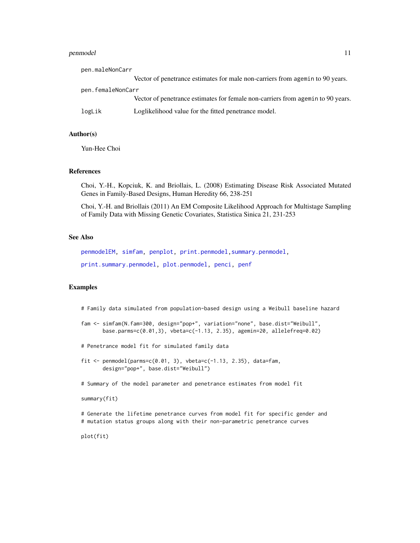#### <span id="page-10-0"></span>penmodel and the set of the set of the set of the set of the set of the set of the set of the set of the set of the set of the set of the set of the set of the set of the set of the set of the set of the set of the set of

| pen.maleNonCarr   |                                                                                 |
|-------------------|---------------------------------------------------------------------------------|
|                   | Vector of penetrance estimates for male non-carriers from agemin to 90 years.   |
| pen.femaleNonCarr |                                                                                 |
|                   | Vector of penetrance estimates for female non-carriers from agemin to 90 years. |
| logLik            | Loglikelihood value for the fitted penetrance model.                            |

# Author(s)

Yun-Hee Choi

# References

Choi, Y.-H., Kopciuk, K. and Briollais, L. (2008) Estimating Disease Risk Associated Mutated Genes in Family-Based Designs, Human Heredity 66, 238-251

Choi, Y.-H. and Briollais (2011) An EM Composite Likelihood Approach for Multistage Sampling of Family Data with Missing Genetic Covariates, Statistica Sinica 21, 231-253

# See Also

[penmodelEM,](#page-11-1) [simfam,](#page-20-1) [penplot,](#page-14-1) [print.penmodel,](#page-18-1) [summary.penmodel,](#page-24-1) [print.summary.penmodel,](#page-19-1) [plot.penmodel,](#page-16-1) [penci,](#page-4-1) [penf](#page-6-1)

# Examples

# Family data simulated from population-based design using a Weibull baseline hazard

```
fam <- simfam(N.fam=300, design="pop+", variation="none", base.dist="Weibull",
      base.parms=c(0.01,3), vbeta=c(-1.13, 2.35), agemin=20, allelefreq=0.02)
```
# Penetrance model fit for simulated family data

fit  $\le$  penmodel(parms=c(0.01, 3), vbeta=c(-1.13, 2.35), data=fam, design="pop+", base.dist="Weibull")

# Summary of the model parameter and penetrance estimates from model fit

summary(fit)

# Generate the lifetime penetrance curves from model fit for specific gender and # mutation status groups along with their non-parametric penetrance curves

plot(fit)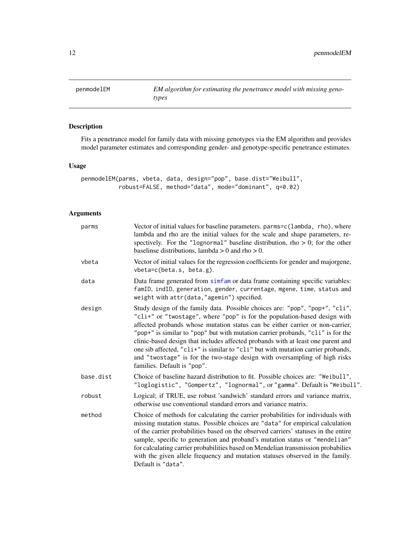<span id="page-11-1"></span><span id="page-11-0"></span>penmodelEM *EM algorithm for estimating the penetrance model with missing genotypes*

# Description

Fits a penetrance model for family data with missing genotypes via the EM algorithm and provides model parameter estimates and corresponding gender- and genotype-specific penetrance estimates.

# Usage

```
penmodelEM(parms, vbeta, data, design="pop", base.dist="Weibull",
           robust=FALSE, method="data", mode="dominant", q=0.02)
```

| parms     | Vector of initial values for baseline parameters. parms=c(lambda, rho), where<br>lambda and rho are the initial values for the scale and shape parameters, re-<br>spectively. For the "lognormal" baseline distribution, rho $> 0$ ; for the other<br>baselinse distributions, lambda $> 0$ and rho $> 0$ .                                                                                                                                                                                                                                                                                                        |
|-----------|--------------------------------------------------------------------------------------------------------------------------------------------------------------------------------------------------------------------------------------------------------------------------------------------------------------------------------------------------------------------------------------------------------------------------------------------------------------------------------------------------------------------------------------------------------------------------------------------------------------------|
| vbeta     | Vector of initial values for the regression coefficients for gender and majorgene,<br>$vbeta=c(beta.s, beta.g).$                                                                                                                                                                                                                                                                                                                                                                                                                                                                                                   |
| data      | Data frame generated from simfam or data frame containing specific variables:<br>famID, indID, generation, gender, currentage, mgene, time, status and<br>weight with attr(data, "agemin") specified.                                                                                                                                                                                                                                                                                                                                                                                                              |
| design    | Study design of the family data. Possible choices are: "pop", "pop+", "cli",<br>"cli+" or "twostage", where "pop" is for the population-based design with<br>affected probands whose mutation status can be either carrier or non-carrier,<br>"pop+" is similar to "pop" but with mutation carrier probands, "cli" is for the<br>clinic-based design that includes affected probands with at least one parent and<br>one sib affected, "cli+" is similar to "cli" but with mutation carrier probands,<br>and "twostage" is for the two-stage design with oversampling of high risks<br>families. Default is "pop". |
| base.dist | Choice of baseline hazard distribution to fit. Possible choices are: "Weibull",<br>"loglogistic", "Gompertz", "lognormal", or "gamma". Default is "Weibull".                                                                                                                                                                                                                                                                                                                                                                                                                                                       |
| robust    | Logical; if TRUE, use robust 'sandwich' standard errors and variance matrix,<br>otherwise use conventional standard errors and variance matrix.                                                                                                                                                                                                                                                                                                                                                                                                                                                                    |
| method    | Choice of methods for calculating the carrier probabilities for individuals with<br>missing mutation status. Possible choices are "data" for empirical calculation<br>of the carrier probabilities based on the observed carriers' statuses in the entire<br>sample, specific to generation and proband's mutation status or "mendelian"<br>for calculating carrier probabilities based on Mendelian transmission probabilies<br>with the given allele frequency and mutation statuses observed in the family.<br>Default is "data".                                                                               |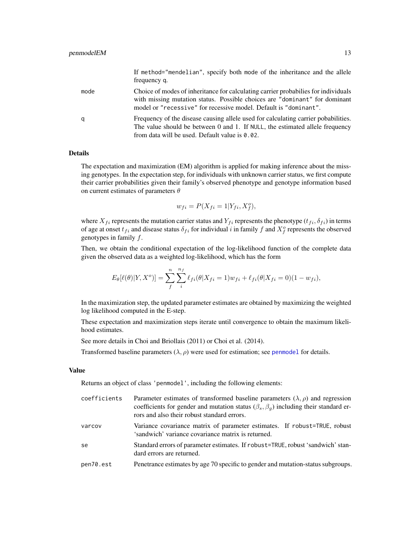<span id="page-12-0"></span>

|      | If method="mendelian", specify both mode of the inheritance and the allele<br>frequency q.                                                                                                                                           |
|------|--------------------------------------------------------------------------------------------------------------------------------------------------------------------------------------------------------------------------------------|
| mode | Choice of modes of inheritance for calculating carrier probabilies for individuals<br>with missing mutation status. Possible choices are "dominant" for dominant<br>model or "recessive" for recessive model. Default is "dominant". |
| q    | Frequency of the disease causing allele used for calculating carrier pobabilities.<br>The value should be between 0 and 1. If NULL, the estimated allele frequency<br>from data will be used. Default value is 0.02.                 |

The expectation and maximization (EM) algorithm is applied for making inference about the missing genotypes. In the expectation step, for individuals with unknown carrier status, we first compute their carrier probabilities given their family's observed phenotype and genotype information based on current estimates of parameters  $\theta$ 

$$
w_{fi} = P(X_{fi} = 1 | Y_{fi}, X_f^o),
$$

where  $X_{fi}$  represents the mutation carrier status and  $Y_{fi}$  represents the phenotype  $(t_{fi}, \delta_{fi})$  in terms of age at onset  $t_{fi}$  and disease status  $\delta_{fi}$  for individual i in family f and  $X_f^o$  represents the observed genotypes in family f.

Then, we obtain the conditional expectation of the log-likelihood function of the complete data given the observed data as a weighted log-likelihood, which has the form

$$
E_{\theta}[\ell(\theta)|Y, X^o] = \sum_{f}^{n} \sum_{i}^{n_f} \ell_{fi}(\theta|X_{fi} = 1) w_{fi} + \ell_{fi}(\theta|X_{fi} = 0)(1 - w_{fi}),
$$

In the maximization step, the updated parameter estimates are obtained by maximizing the weighted log likelihood computed in the E-step.

These expectation and maximization steps iterate until convergence to obtain the maximum likelihood estimates.

See more details in Choi and Briollais (2011) or Choi et al. (2014).

Transformed baseline parameters  $(\lambda, \rho)$  were used for estimation; see [penmodel](#page-8-1) for details.

#### Value

Returns an object of class 'penmodel', including the following elements:

| coefficients | Parameter estimates of transformed baseline parameters $(\lambda, \rho)$ and regression<br>coefficients for gender and mutation status ( $\beta_s$ , $\beta_q$ ) including their standard er-<br>rors and also their robust standard errors. |
|--------------|----------------------------------------------------------------------------------------------------------------------------------------------------------------------------------------------------------------------------------------------|
| varcov       | Variance covariance matrix of parameter estimates. If robust=TRUE, robust<br>'sandwich' variance covariance matrix is returned.                                                                                                              |
| se           | Standard errors of parameter estimates. If robust=TRUE, robust 'sandwich' stan-<br>dard errors are returned.                                                                                                                                 |
| pen70.est    | Penetrance estimates by age 70 specific to gender and mutation-status subgroups.                                                                                                                                                             |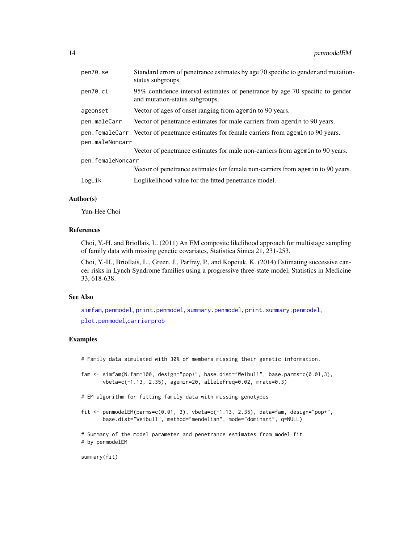<span id="page-13-0"></span>

| pen70.se          | Standard errors of penetrance estimates by age 70 specific to gender and mutation-<br>status subgroups.        |
|-------------------|----------------------------------------------------------------------------------------------------------------|
| pen70.ci          | 95% confidence interval estimates of penetrance by age 70 specific to gender<br>and mutation-status subgroups. |
| ageonset          | Vector of ages of onset ranging from agemin to 90 years.                                                       |
| pen.maleCarr      | Vector of penetrance estimates for male carriers from agemin to 90 years.                                      |
|                   | pen. femaleCarr Vector of penetrance estimates for female carriers from agemin to 90 years.                    |
| pen.maleNoncarr   |                                                                                                                |
|                   | Vector of penetrance estimates for male non-carriers from agemin to 90 years.                                  |
| pen.femaleNoncarr |                                                                                                                |
|                   | Vector of penetrance estimates for female non-carriers from agemin to 90 years.                                |
| logLik            | Loglikelihood value for the fitted penetrance model.                                                           |
|                   |                                                                                                                |

# Author(s)

Yun-Hee Choi

# References

Choi, Y.-H. and Briollais, L. (2011) An EM composite likelihood approach for multistage sampling of family data with missing genetic covariates, Statistica Sinica 21, 231-253.

Choi, Y.-H., Briollais, L., Green, J., Parfrey, P., and Kopciuk, K. (2014) Estimating successive cancer risks in Lynch Syndrome families using a progressive three-state model, Statistics in Medicine 33, 618-638.

# See Also

[simfam](#page-20-1), [penmodel](#page-8-1), [print.penmodel](#page-18-1), [summary.penmodel](#page-24-1), [print.summary.penmodel](#page-19-1), [plot.penmodel](#page-16-1),[carrierprob](#page-2-1)

# Examples

# Family data simulated with 30% of members missing their genetic information.

- fam <- simfam(N.fam=100, design="pop+", base.dist="Weibull", base.parms=c(0.01,3), vbeta=c(-1.13, 2.35), agemin=20, allelefreq=0.02, mrate=0.3)
- # EM algorithm for fitting family data with missing genotypes
- fit  $\leq$  penmodelEM(parms=c(0.01, 3), vbeta=c(-1.13, 2.35), data=fam, design="pop+", base.dist="Weibull", method="mendelian", mode="dominant", q=NULL)

# Summary of the model parameter and penetrance estimates from model fit # by penmodelEM

#### summary(fit)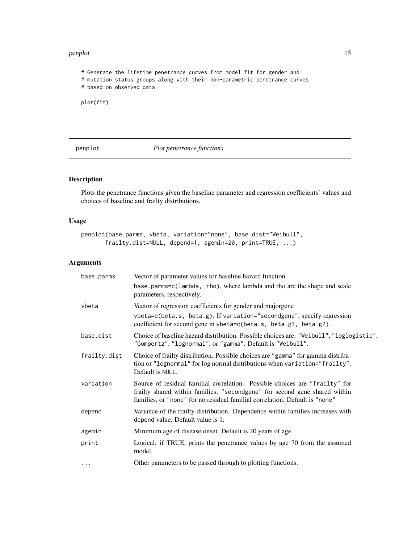#### <span id="page-14-0"></span>penplot that the contract of the contract of the contract of the contract of the contract of the contract of the contract of the contract of the contract of the contract of the contract of the contract of the contract of t

```
# Generate the lifetime penetrance curves from model fit for gender and
# mutation status groups along with their non-parametric penetrance curves
# based on observed data
```

```
plot(fit)
```
<span id="page-14-1"></span>penplot *Plot penetrance functions*

# Description

Plots the penetrance functions given the baseline parameter and regression coefficients' values and choices of baseline and frailty distributions.

#### Usage

```
penplot(base.parms, vbeta, variation="none", base.dist="Weibull",
       frailty.dist=NULL, depend=1, agemin=20, print=TRUE, ...)
```

| base.parms   | Vector of parameter values for baseline hazard function.                                                                                                                                                                                 |
|--------------|------------------------------------------------------------------------------------------------------------------------------------------------------------------------------------------------------------------------------------------|
|              | base.parms=c(lambda, rho), where lambda and rho are the shape and scale<br>parameters, respectively.                                                                                                                                     |
| vbeta        | Vector of regression coefficients for gender and majorgene                                                                                                                                                                               |
|              | vbeta=c(beta.s, beta.g). If variation="secondgene", specify regression<br>coefficient for second gene in vbeta=c(beta.s, beta.g1, beta.g2).                                                                                              |
| base.dist    | Choice of baseline hazard distribution. Possible choices are: "Weibull", "loglogistic",<br>"Gompertz", "lognormal", or "gamma". Default is "Weibull".                                                                                    |
| frailty.dist | Choice of frailty distribution. Possible choices are "gamma" for gamma distribu-<br>tion or "lognormal" for log normal distributions when variation="frailty".<br>Default is NULL.                                                       |
| variation    | Source of residual familial correlation. Possible choices are "frailty" for<br>frailty shared within families, "secondgene" for second gene shared within<br>families, or "none" for no residual familial correlation. Default is "none" |
| depend       | Variance of the frailty distribution. Dependence within families increases with<br>depend value. Default value is 1.                                                                                                                     |
| agemin       | Minimum age of disease onset. Default is 20 years of age.                                                                                                                                                                                |
| print        | Logical; if TRUE, prints the penetrance values by age 70 from the assumed<br>model.                                                                                                                                                      |
| $\cdots$     | Other parameters to be passed through to plotting functions.                                                                                                                                                                             |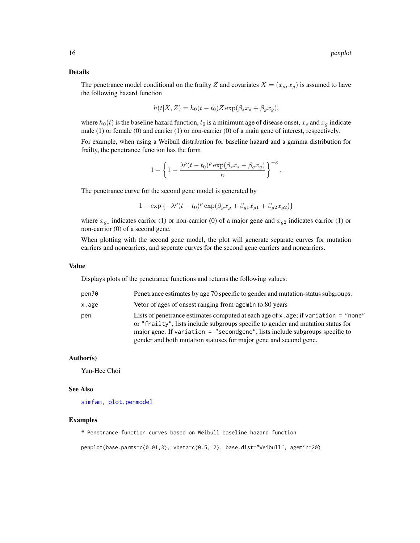<span id="page-15-0"></span>The penetrance model conditional on the frailty Z and covariates  $X = (x_s, x_g)$  is assumed to have the following hazard function

$$
h(t|X, Z) = h_0(t - t_0)Z \exp(\beta_s x_s + \beta_g x_g),
$$

where  $h_0(t)$  is the baseline hazard function,  $t_0$  is a minimum age of disease onset,  $x_s$  and  $x_g$  indicate male (1) or female (0) and carrier (1) or non-carrier (0) of a main gene of interest, respectively.

For example, when using a Weibull distribution for baseline hazard and a gamma distribution for frailty, the penetrance function has the form

$$
1-\left\{1+\frac{\lambda^\rho (t-t_0)^\rho \exp(\beta_sx_s+\beta_gx_g)}{\kappa}\right\}^{-\kappa}
$$

.

The penetrance curve for the second gene model is generated by

$$
1 - \exp\left\{-\lambda^{\rho}(t - t_0)^{\rho}\exp(\beta_g x_g + \beta_{g1}x_{g1} + \beta_{g2}x_{g2})\right\}
$$

where  $x_{g1}$  indicates carrior (1) or non-carrior (0) of a major gene and  $x_{g2}$  indicates carrior (1) or non-carrior (0) of a second gene.

When plotting with the second gene model, the plot will generate separate curves for mutation carriers and noncarriers, and seperate curves for the second gene carriers and noncarriers.

#### Value

Displays plots of the penetrance functions and returns the following values:

| pen70 | Penetrance estimates by age 70 specific to gender and mutation-status subgroups.                                                                                                                                                                                                                                                |
|-------|---------------------------------------------------------------------------------------------------------------------------------------------------------------------------------------------------------------------------------------------------------------------------------------------------------------------------------|
| x.age | Vetor of ages of onsest ranging from agemin to 80 years                                                                                                                                                                                                                                                                         |
| pen   | Lists of penetrance estimates computed at each age of x . age; if variation = "none"<br>or "frailty", lists include subgroups specific to gender and mutation status for<br>major gene. If variation $=$ "secondgene", lists include subgroups specific to<br>gender and both mutation statuses for major gene and second gene. |

#### Author(s)

Yun-Hee Choi

#### See Also

[simfam,](#page-20-1) [plot.penmodel](#page-16-1)

#### Examples

# Penetrance function curves based on Weibull baseline hazard function

penplot(base.parms=c(0.01,3), vbeta=c(0.5, 2), base.dist="Weibull", agemin=20)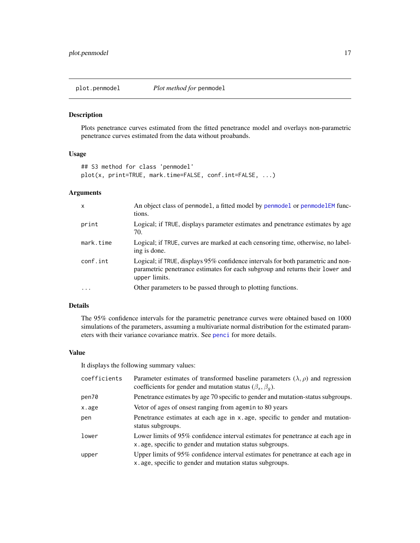<span id="page-16-1"></span><span id="page-16-0"></span>

# Description

Plots penetrance curves estimated from the fitted penetrance model and overlays non-parametric penetrance curves estimated from the data without proabands.

# Usage

```
## S3 method for class 'penmodel'
plot(x, print=TRUE, mark.time=FALSE, conf.int=FALSE, ...)
```
# Arguments

| $\mathsf{x}$ | An object class of penmodel, a fitted model by penmodel or penmodelEM func-<br>tions.                                                                                              |
|--------------|------------------------------------------------------------------------------------------------------------------------------------------------------------------------------------|
| print        | Logical; if TRUE, displays parameter estimates and penetrance estimates by age<br>70.                                                                                              |
| mark.time    | Logical; if TRUE, curves are marked at each censoring time, otherwise, no label-<br>ing is done.                                                                                   |
| conf.int     | Logical; if TRUE, displays 95% confidence intervals for both parametric and non-<br>parametric penetrance estimates for each subgroup and returns their lower and<br>upper limits. |
| $\ddotsc$    | Other parameters to be passed through to plotting functions.                                                                                                                       |

# Details

The 95% confidence intervals for the parametric penetrance curves were obtained based on 1000 simulations of the parameters, assuming a multivariate normal distribution for the estimated parameters with their variance covariance matrix. See [penci](#page-4-1) for more details.

#### Value

It displays the following summary values:

| coefficients | Parameter estimates of transformed baseline parameters $(\lambda, \rho)$ and regression<br>coefficients for gender and mutation status ( $\beta_s$ , $\beta_q$ ). |
|--------------|-------------------------------------------------------------------------------------------------------------------------------------------------------------------|
| pen70        | Penetrance estimates by age 70 specific to gender and mutation-status subgroups.                                                                                  |
| x.age        | Vetor of ages of onsest ranging from agemin to 80 years                                                                                                           |
| pen          | Penetrance estimates at each age in x age, specific to gender and mutation-<br>status subgroups.                                                                  |
| lower        | Lower limits of 95% confidence interval estimates for penetrance at each age in<br>x age, specific to gender and mutation status subgroups.                       |
| upper        | Upper limits of 95% confidence interval estimates for penetrance at each age in<br>x. age, specific to gender and mutation status subgroups.                      |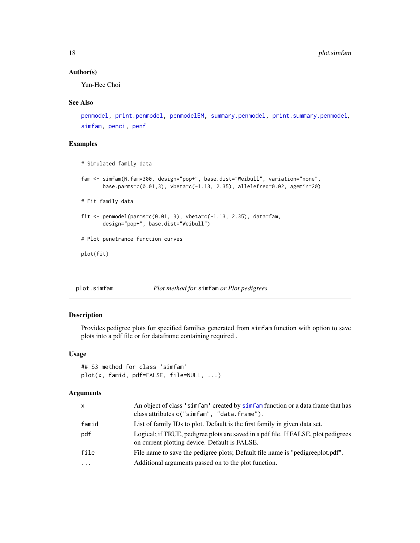# <span id="page-17-0"></span>Author(s)

Yun-Hee Choi

# See Also

```
penmodel, print.penmodel, penmodelEM, summary.penmodel, print.summary.penmodel,
simfam, penci, penf
```
# Examples

```
# Simulated family data
fam <- simfam(N.fam=300, design="pop+", base.dist="Weibull", variation="none",
       base.parms=c(0.01,3), vbeta=c(-1.13, 2.35), allelefreq=0.02, agemin=20)
# Fit family data
fit \leq penmodel(parms=c(0.01, 3), vbeta=c(-1.13, 2.35), data=fam,
       design="pop+", base.dist="Weibull")
# Plot penetrance function curves
plot(fit)
```
<span id="page-17-1"></span>

|  | plot.simfam | Plot method for simfam or Plot pedigrees |  |  |  |
|--|-------------|------------------------------------------|--|--|--|
|--|-------------|------------------------------------------|--|--|--|

#### Description

Provides pedigree plots for specified families generated from simfam function with option to save plots into a pdf file or for dataframe containing required .

# Usage

```
## S3 method for class 'simfam'
plot(x, famid, pdf=FALSE, file=NULL, ...)
```

| x        | An object of class 'simfam' created by simfam function or a data frame that has<br>class attributes c("simfam", "data.frame").      |
|----------|-------------------------------------------------------------------------------------------------------------------------------------|
| famid    | List of family IDs to plot. Default is the first family in given data set.                                                          |
| pdf      | Logical; if TRUE, pedigree plots are saved in a pdf file. If FALSE, plot pedigrees<br>on current plotting device. Default is FALSE. |
| file     | File name to save the pedigree plots; Default file name is "pedigreeplot.pdf".                                                      |
| $\cdots$ | Additional arguments passed on to the plot function.                                                                                |
|          |                                                                                                                                     |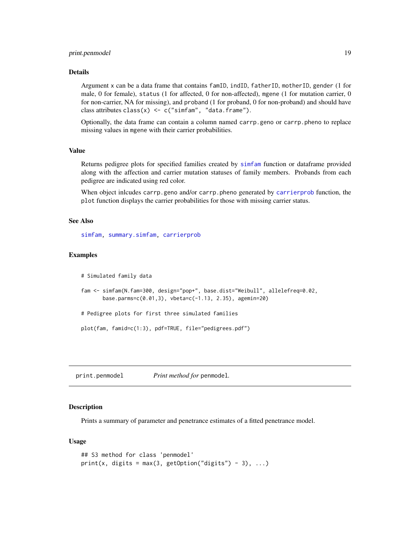# <span id="page-18-0"></span>print.penmodel 19

#### Details

Argument x can be a data frame that contains famID, indID, fatherID, motherID, gender (1 for male, 0 for female), status (1 for affected, 0 for non-affected), mgene (1 for mutation carrier, 0 for non-carrier, NA for missing), and proband (1 for proband, 0 for non-proband) and should have class attributes  $\text{class}(x) \leq c$  ("simfam", "data.frame").

Optionally, the data frame can contain a column named carrp.geno or carrp.pheno to replace missing values in mgene with their carrier probabilities.

# Value

Returns pedigree plots for specified families created by [simfam](#page-20-1) function or dataframe provided along with the affection and carrier mutation statuses of family members. Probands from each pedigree are indicated using red color.

When object inlcudes carrp.geno and/or carrp.pheno generated by [carrierprob](#page-2-1) function, the plot function displays the carrier probabilities for those with missing carrier status.

# See Also

[simfam,](#page-20-1) [summary.simfam,](#page-25-1) [carrierprob](#page-2-1)

#### Examples

# Simulated family data

```
fam <- simfam(N.fam=300, design="pop+", base.dist="Weibull", allelefreq=0.02,
      base.parms=c(0.01,3), vbeta=c(-1.13, 2.35), agemin=20)
```
# Pedigree plots for first three simulated families

plot(fam, famid=c(1:3), pdf=TRUE, file="pedigrees.pdf")

<span id="page-18-1"></span>print.penmodel *Print method for* penmodel*.*

# **Description**

Prints a summary of parameter and penetrance estimates of a fitted penetrance model.

#### Usage

```
## S3 method for class 'penmodel'
print(x, digits = max(3, getOption("digits") - 3), ...)
```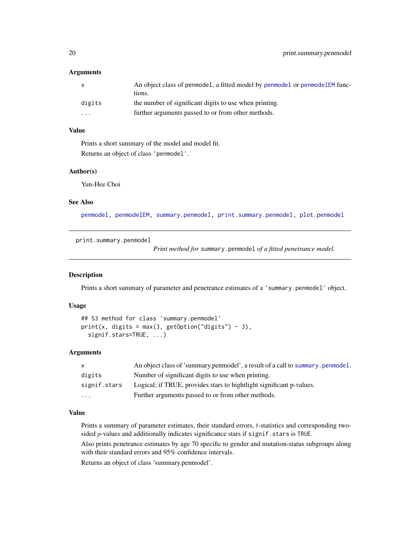### <span id="page-19-0"></span>**Arguments**

| $\mathsf{x}$ | An object class of penmodel, a fitted model by penmodel or penmodel EM func- |
|--------------|------------------------------------------------------------------------------|
|              | tions.                                                                       |
| digits       | the number of significant digits to use when printing.                       |
| $\cdots$     | further arguments passed to or from other methods.                           |
|              |                                                                              |

#### Value

Prints a short summary of the model and model fit. Returns an object of class 'penmodel'.

#### Author(s)

Yun-Hee Choi

# See Also

[penmodel,](#page-8-1) [penmodelEM,](#page-11-1) [summary.penmodel,](#page-24-1) [print.summary.penmodel,](#page-19-1) [plot.penmodel](#page-16-1)

<span id="page-19-1"></span>print.summary.penmodel

*Print method for* summary.penmodel *of a fitted penetrance model.*

# Description

Prints a short summary of parameter and penetrance estimates of a 'summary.penmodel' object.

# Usage

```
## S3 method for class 'summary.penmodel'
print(x, digits = max(3, getOption("digits") - 3),signif.stars=TRUE, ...)
```
#### Arguments

| $\mathsf{X}$            | An object class of 'summary.penmodel', a result of a call to summary.penmodel. |
|-------------------------|--------------------------------------------------------------------------------|
| digits                  | Number of significant digits to use when printing.                             |
| signif.stars            | Logical; if TRUE, provides stars to hightlight significant p-values.           |
| $\cdot$ $\cdot$ $\cdot$ | Further arguments passed to or from other methods.                             |

#### Value

Prints a summary of parameter estimates, their standard errors, t-statistics and corresponding twosided  $p$ -values and additionally indicates significance stars if signif.stars is TRUE.

Also prints penetrance estimates by age 70 specific to gender and mutation-status subgroups along with their standard errors and 95% confidence intervals.

Returns an object of class 'summary.penmodel'.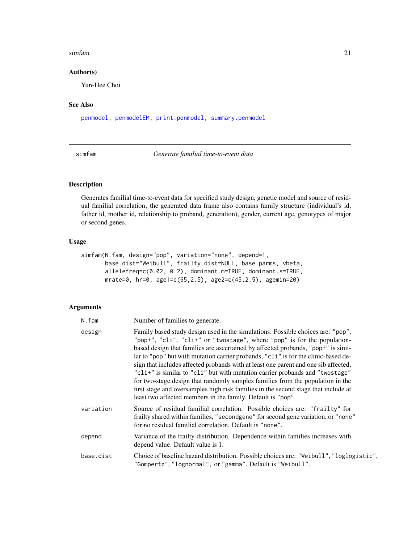#### <span id="page-20-0"></span>simfam 21

# Author(s)

Yun-Hee Choi

# See Also

[penmodel,](#page-8-1) [penmodelEM,](#page-11-1) [print.penmodel,](#page-18-1) [summary.penmodel](#page-24-1)

<span id="page-20-1"></span>simfam *Generate familial time-to-event data*

# Description

Generates familial time-to-event data for specified study design, genetic model and source of residual familial correlation; the generated data frame also contains family structure (individual's id, father id, mother id, relationship to proband, generation), gender, current age, genotypes of major or second genes.

# Usage

```
simfam(N.fam, design="pop", variation="none", depend=1,
      base.dist="Weibull", frailty.dist=NULL, base.parms, vbeta,
       allelefreq=c(0.02, 0.2), dominant.m=TRUE, dominant.s=TRUE,
      mrate=0, hr=0, age1=c(65,2.5), age2=c(45,2.5), agemin=20)
```

| N.fam     | Number of families to generate.                                                                                                                                                                                                                                                                                                                                                                                                                                                                                                                                                                                                                                                                                                                    |
|-----------|----------------------------------------------------------------------------------------------------------------------------------------------------------------------------------------------------------------------------------------------------------------------------------------------------------------------------------------------------------------------------------------------------------------------------------------------------------------------------------------------------------------------------------------------------------------------------------------------------------------------------------------------------------------------------------------------------------------------------------------------------|
| design    | Family based study design used in the simulations. Possible choices are: "pop",<br>"pop+", "cli", "cli+" or "twostage", where "pop" is for the population-<br>based design that families are ascertained by affected probands, "pop+" is simi-<br>lar to "pop" but with mutation carrier probands, "cli" is for the clinic-based de-<br>sign that includes affected probands with at least one parent and one sib affected,<br>"cli+" is similar to "cli" but with mutation carrier probands and "twostage"<br>for two-stage design that randomly samples families from the population in the<br>first stage and oversamples high risk families in the second stage that include at<br>least two affected members in the family. Default is "pop". |
| variation | Source of residual familial correlation. Possible choices are: "frailty" for<br>frailty shared within families, "secondgene" for second gene variation, or "none"<br>for no residual familial correlation. Default is "none".                                                                                                                                                                                                                                                                                                                                                                                                                                                                                                                      |
| depend    | Variance of the frailty distribution. Dependence within families increases with<br>depend value. Default value is 1.                                                                                                                                                                                                                                                                                                                                                                                                                                                                                                                                                                                                                               |
| base.dist | Choice of baseline hazard distribution. Possible choices are: "Weibull", "loglogistic",<br>"Gompertz", "lognormal", or "gamma". Default is "Weibull".                                                                                                                                                                                                                                                                                                                                                                                                                                                                                                                                                                                              |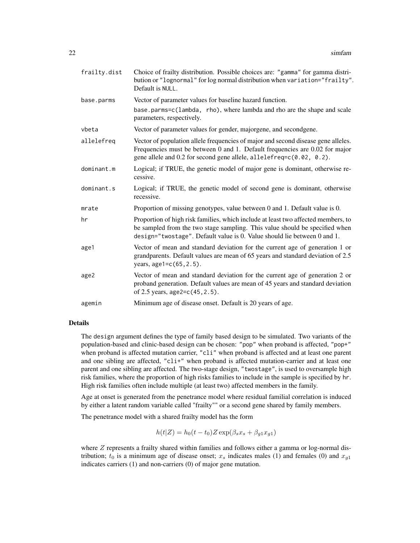| frailty.dist | Choice of frailty distribution. Possible choices are: "gamma" for gamma distri-<br>bution or "lognormal" for log normal distribution when variation="frailty".<br>Default is NULL.                                                           |
|--------------|----------------------------------------------------------------------------------------------------------------------------------------------------------------------------------------------------------------------------------------------|
| base.parms   | Vector of parameter values for baseline hazard function.                                                                                                                                                                                     |
|              | base.parms=c(lambda, rho), where lambda and rho are the shape and scale<br>parameters, respectively.                                                                                                                                         |
| vbeta        | Vector of parameter values for gender, majorgene, and secondgene.                                                                                                                                                                            |
| allelefreq   | Vector of population allele frequencies of major and second disease gene alleles.<br>Frequencies must be between 0 and 1. Default frequencies are 0.02 for major<br>gene allele and 0.2 for second gene allele, allelefreq=c(0.02, 0.2).     |
| dominant.m   | Logical; if TRUE, the genetic model of major gene is dominant, otherwise re-<br>cessive.                                                                                                                                                     |
| dominant.s   | Logical; if TRUE, the genetic model of second gene is dominant, otherwise<br>recessive.                                                                                                                                                      |
| mrate        | Proportion of missing genotypes, value between 0 and 1. Default value is 0.                                                                                                                                                                  |
| hr           | Proportion of high risk families, which include at least two affected members, to<br>be sampled from the two stage sampling. This value should be specified when<br>design="twostage". Default value is 0. Value should lie between 0 and 1. |
| age1         | Vector of mean and standard deviation for the current age of generation 1 or<br>grandparents. Default values are mean of 65 years and standard deviation of 2.5<br>years, age1=c(65, 2.5).                                                   |
| age2         | Vector of mean and standard deviation for the current age of generation 2 or<br>proband generation. Default values are mean of 45 years and standard deviation<br>of 2.5 years, age2= $c(45, 2.5)$ .                                         |
| agemin       | Minimum age of disease onset. Default is 20 years of age.                                                                                                                                                                                    |

The design argument defines the type of family based design to be simulated. Two variants of the population-based and clinic-based design can be chosen: "pop" when proband is affected, "pop+" when proband is affected mutation carrier, "cli" when proband is affected and at least one parent and one sibling are affected, "cli+" when proband is affected mutation-carrier and at least one parent and one sibling are affected. The two-stage design, "twostage", is used to oversample high risk families, where the proportion of high risks families to include in the sample is specified by hr. High risk families often include multiple (at least two) affected members in the family.

Age at onset is generated from the penetrance model where residual familial correlation is induced by either a latent random variable called "frailty"" or a second gene shared by family members.

The penetrance model with a shared frailty model has the form

$$
h(t|Z) = h_0(t - t_0)Z \exp(\beta_s x_s + \beta_{g1} x_{g1})
$$

where  $Z$  represents a frailty shared within families and follows either a gamma or log-normal distribution;  $t_0$  is a minimum age of disease onset;  $x_s$  indicates males (1) and females (0) and  $x_{g1}$ indicates carriers (1) and non-carriers (0) of major gene mutation.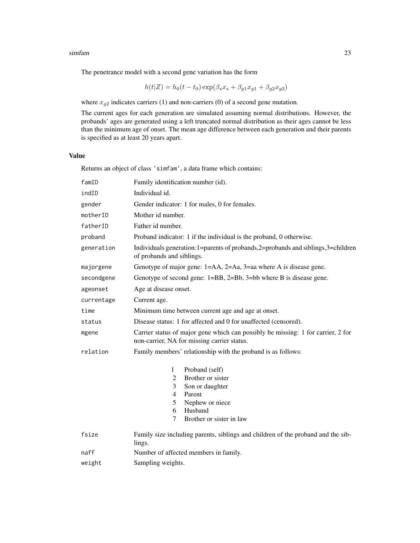#### simfam 23

The penetrance model with a second gene variation has the form

$$
h(t|Z) = h_0(t - t_0) \exp(\beta_s x_s + \beta_{g1} x_{g1} + \beta_{g2} x_{g2})
$$

where  $x_{g2}$  indicates carriers (1) and non-carriers (0) of a second gene mutation.

The current ages for each generation are simulated assuming normal distributions. However, the probands' ages are generated using a left truncated normal distribution as their ages cannot be less than the minimum age of onset. The mean age difference between each generation and their parents is specified as at least 20 years apart.

# Value

Returns an object of class 'simfam', a data frame which contains:

| famID      | Family identification number (id).                                                                                              |  |  |  |  |  |
|------------|---------------------------------------------------------------------------------------------------------------------------------|--|--|--|--|--|
| indID      | Individual id.                                                                                                                  |  |  |  |  |  |
| gender     | Gender indicator: 1 for males, 0 for females.                                                                                   |  |  |  |  |  |
| motherID   | Mother id number.                                                                                                               |  |  |  |  |  |
| fatherID   | Father id number.                                                                                                               |  |  |  |  |  |
| proband    | Proband indicator: 1 if the individual is the proband, 0 otherwise.                                                             |  |  |  |  |  |
| generation | Individuals generation: 1=parents of probands, 2=probands and siblings, 3=children<br>of probands and siblings.                 |  |  |  |  |  |
| majorgene  | Genotype of major gene: 1=AA, 2=Aa, 3=aa where A is disease gene.                                                               |  |  |  |  |  |
| secondgene | Genotype of second gene: 1=BB, 2=Bb, 3=bb where B is disease gene.                                                              |  |  |  |  |  |
| ageonset   | Age at disease onset.                                                                                                           |  |  |  |  |  |
| currentage | Current age.                                                                                                                    |  |  |  |  |  |
| time       | Minimum time between current age and age at onset.                                                                              |  |  |  |  |  |
| status     | Disease status: 1 for affected and 0 for unaffected (censored).                                                                 |  |  |  |  |  |
| mgene      | Carrier status of major gene which can possibly be missing: 1 for carrier, 2 for<br>non-carrier, NA for missing carrier status. |  |  |  |  |  |
| relation   | Family members' relationship with the proband is as follows:                                                                    |  |  |  |  |  |
|            | Proband (self)<br>1<br>Brother or sister<br>2<br>3<br>Son or daughter                                                           |  |  |  |  |  |
|            | $\overline{4}$<br>Parent                                                                                                        |  |  |  |  |  |
|            | 5<br>Nephew or niece<br>Husband<br>6                                                                                            |  |  |  |  |  |
|            | Brother or sister in law<br>7                                                                                                   |  |  |  |  |  |
| fsize      | Family size including parents, siblings and children of the proband and the sib-<br>lings.                                      |  |  |  |  |  |
| naff       | Number of affected members in family.                                                                                           |  |  |  |  |  |
| weight     | Sampling weights.                                                                                                               |  |  |  |  |  |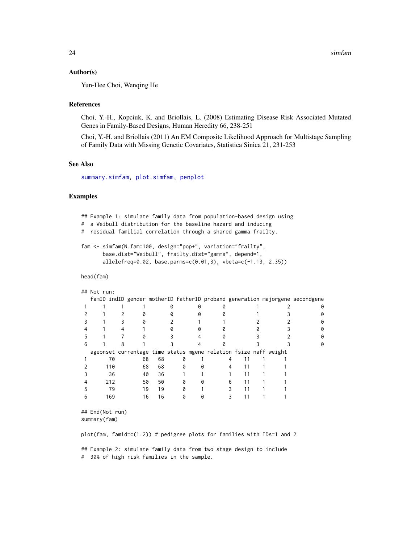#### <span id="page-23-0"></span>Author(s)

Yun-Hee Choi, Wenqing He

#### References

Choi, Y.-H., Kopciuk, K. and Briollais, L. (2008) Estimating Disease Risk Associated Mutated Genes in Family-Based Designs, Human Heredity 66, 238-251

Choi, Y.-H. and Briollais (2011) An EM Composite Likelihood Approach for Multistage Sampling of Family Data with Missing Genetic Covariates, Statistica Sinica 21, 231-253

# See Also

[summary.simfam,](#page-25-1) [plot.simfam,](#page-17-1) [penplot](#page-14-1)

# Examples

```
## Example 1: simulate family data from population-based design using
# a Weibull distribution for the baseline hazard and inducing
# residual familial correlation through a shared gamma frailty.
fam <- simfam(N.fam=100, design="pop+", variation="frailty",
      base.dist="Weibull", frailty.dist="gamma", depend=1,
      allelefreq=0.02, base.parms=c(0.01,3), vbeta=c(-1.13, 2.35))
```
head(fam)

```
## Not run:
```

|  |     |    |    |   |                                                                  |  |  | famID indID gender motherID fatherID proband generation majorgene secondgene |
|--|-----|----|----|---|------------------------------------------------------------------|--|--|------------------------------------------------------------------------------|
|  |     |    |    |   |                                                                  |  |  |                                                                              |
|  |     |    |    |   |                                                                  |  |  |                                                                              |
|  |     |    |    |   |                                                                  |  |  |                                                                              |
|  |     |    |    |   |                                                                  |  |  |                                                                              |
|  |     |    |    |   |                                                                  |  |  |                                                                              |
|  |     |    |    |   |                                                                  |  |  |                                                                              |
|  |     |    |    |   | ageonset currentage time status mgene relation fsize naff weight |  |  |                                                                              |
|  | 70  | 68 | 68 |   |                                                                  |  |  |                                                                              |
|  | 110 | 68 | 68 | a |                                                                  |  |  |                                                                              |
|  | 36  | 40 | 36 |   |                                                                  |  |  |                                                                              |
|  | 212 | 50 | 50 |   |                                                                  |  |  |                                                                              |
|  | 79  | 19 | 19 |   |                                                                  |  |  |                                                                              |
|  | 169 | 16 | 16 |   |                                                                  |  |  |                                                                              |

## End(Not run) summary(fam)

plot(fam, famid=c(1:2)) # pedigree plots for families with IDs=1 and 2

## Example 2: simulate family data from two stage design to include # 30% of high risk families in the sample.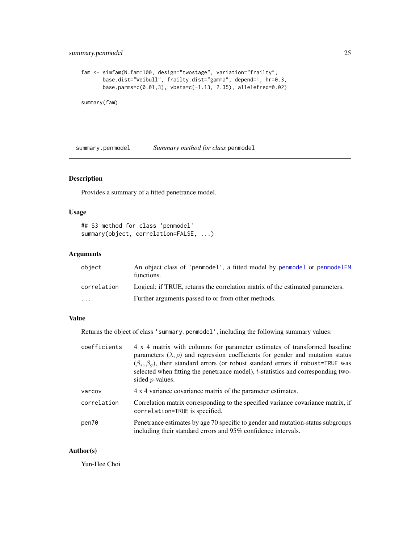# <span id="page-24-0"></span>summary.penmodel 25

```
fam <- simfam(N.fam=100, design="twostage", variation="frailty",
      base.dist="Weibull", frailty.dist="gamma", depend=1, hr=0.3,
      base.parms=c(0.01,3), vbeta=c(-1.13, 2.35), allelefreq=0.02)
```
summary(fam)

<span id="page-24-1"></span>summary.penmodel *Summary method for class* penmodel

# Description

Provides a summary of a fitted penetrance model.

# Usage

```
## S3 method for class 'penmodel'
summary(object, correlation=FALSE, ...)
```
# Arguments

| object      | An object class of 'penmodel', a fitted model by penmodel or penmodel EM<br>functions. |
|-------------|----------------------------------------------------------------------------------------|
| correlation | Logical; if TRUE, returns the correlation matrix of the estimated parameters.          |
| .           | Further arguments passed to or from other methods.                                     |

# Value

Returns the object of class 'summary.penmodel', including the following summary values:

| coefficients | 4 x 4 matrix with columns for parameter estimates of transformed baseline<br>parameters $(\lambda, \rho)$ and regression coefficients for gender and mutation status<br>$(\beta_s, \beta_a)$ , their standard errors (or robust standard errors if robust=TRUE was<br>selected when fitting the penetrance model), t-statistics and corresponding two-<br>sided $p$ -values. |
|--------------|------------------------------------------------------------------------------------------------------------------------------------------------------------------------------------------------------------------------------------------------------------------------------------------------------------------------------------------------------------------------------|
| varcov       | 4 x 4 variance covariance matrix of the parameter estimates.                                                                                                                                                                                                                                                                                                                 |
| correlation  | Correlation matrix corresponding to the specified variance covariance matrix, if<br>correlation=TRUE is specified.                                                                                                                                                                                                                                                           |
| pen70        | Penetrance estimates by age 70 specific to gender and mutation-status subgroups<br>including their standard errors and 95% confidence intervals.                                                                                                                                                                                                                             |

#### Author(s)

Yun-Hee Choi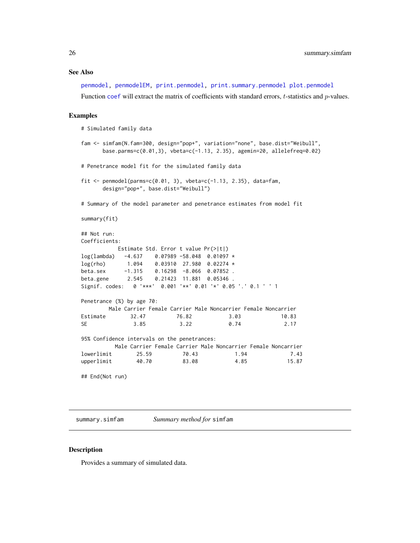#### <span id="page-25-0"></span>See Also

[penmodel,](#page-8-1) [penmodelEM,](#page-11-1) [print.penmodel,](#page-18-1) [print.summary.penmodel](#page-19-1) [plot.penmodel](#page-16-1) Function [coef](#page-0-0) will extract the matrix of coefficients with standard errors,  $t$ -statistics and  $p$ -values.

#### Examples

```
# Simulated family data
fam <- simfam(N.fam=300, design="pop+", variation="none", base.dist="Weibull",
     base.parms=c(0.01,3), vbeta=c(-1.13, 2.35), agemin=20, allelefreq=0.02)
# Penetrance model fit for the simulated family data
fit \le penmodel(parms=c(0.01, 3), vbeta=c(-1.13, 2.35), data=fam,
     design="pop+", base.dist="Weibull")
# Summary of the model parameter and penetrance estimates from model fit
summary(fit)
## Not run:
Coefficients:
          Estimate Std. Error t value Pr(>|t|)
log(lambda) -4.637 0.07989 -58.048 0.01097 *
log(rho) 1.094 0.03910 27.980 0.02274 *
beta.sex -1.315 0.16298 -8.066 0.07852 .
beta.gene 2.545 0.21423 11.881 0.05346 .
Signif. codes: 0 '***' 0.001 '**' 0.01 '*' 0.05 '.' 0.1 ' ' 1
Penetrance (%) by age 70:
       Male Carrier Female Carrier Male Noncarrier Female Noncarrier
Estimate 32.47 76.82 3.03 10.83
SE 3.85 3.22 0.74 2.17
95% Confidence intervals on the penetrances:
         Male Carrier Female Carrier Male Noncarrier Female Noncarrier
lowerlimit 25.59 70.43 1.94 7.43
upperlimit 40.70 83.08 4.85 15.87
## End(Not run)
```
<span id="page-25-1"></span>summary.simfam *Summary method for* simfam

#### Description

Provides a summary of simulated data.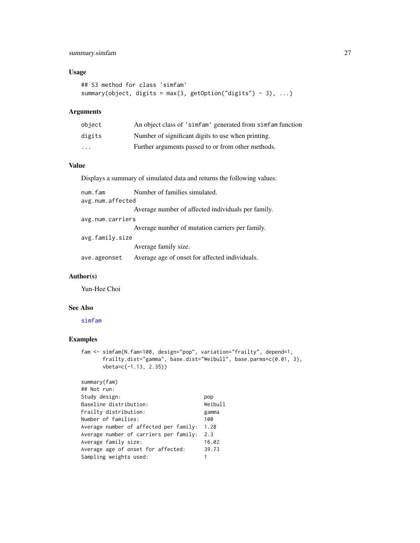# <span id="page-26-0"></span>summary.simfam 27

# Usage

```
## S3 method for class 'simfam'
summary(object, digits = max(3, getOption("digits") - 3), ...)
```
#### Arguments

| object | An object class of 'simfam' generated from simfam function |
|--------|------------------------------------------------------------|
| digits | Number of significant digits to use when printing.         |
| .      | Further arguments passed to or from other methods.         |

# Value

Displays a summary of simulated data and returns the following values:

| num.fam          | Number of families simulated.                      |  |  |  |
|------------------|----------------------------------------------------|--|--|--|
| avg.num.affected |                                                    |  |  |  |
|                  | Average number of affected individuals per family. |  |  |  |
| avg.num.carriers |                                                    |  |  |  |
|                  | Average number of mutation carriers per family.    |  |  |  |
| avg.family.size  |                                                    |  |  |  |
|                  | Average family size.                               |  |  |  |
| ave.ageonset     | Average age of onset for affected individuals.     |  |  |  |

# Author(s)

Yun-Hee Choi

#### See Also

[simfam](#page-20-1)

# Examples

```
fam <- simfam(N.fam=100, design="pop", variation="frailty", depend=1,
      frailty.dist="gamma", base.dist="Weibull", base.parms=c(0.01, 3),
      vbeta=c(-1.13, 2.35))
```

```
summary(fam)
## Not run:
Study design: pop
Baseline distribution: Weibull
Frailty distribution: gamma
Number of families: 100
Average number of affected per family: 1.28
Average number of carriers per family: 2.3
Average family size: 16.02
Average age of onset for affected: 39.73
Sampling weights used: 1
```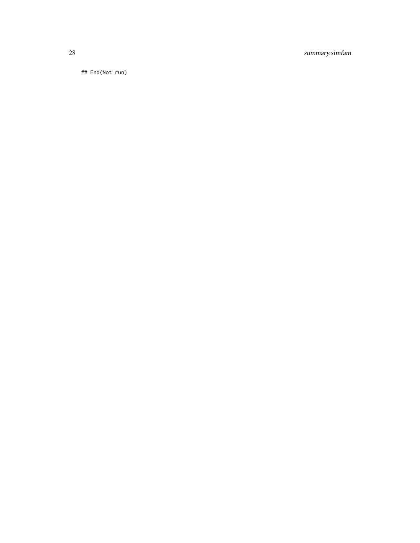28 summary.simfam

## End(Not run)